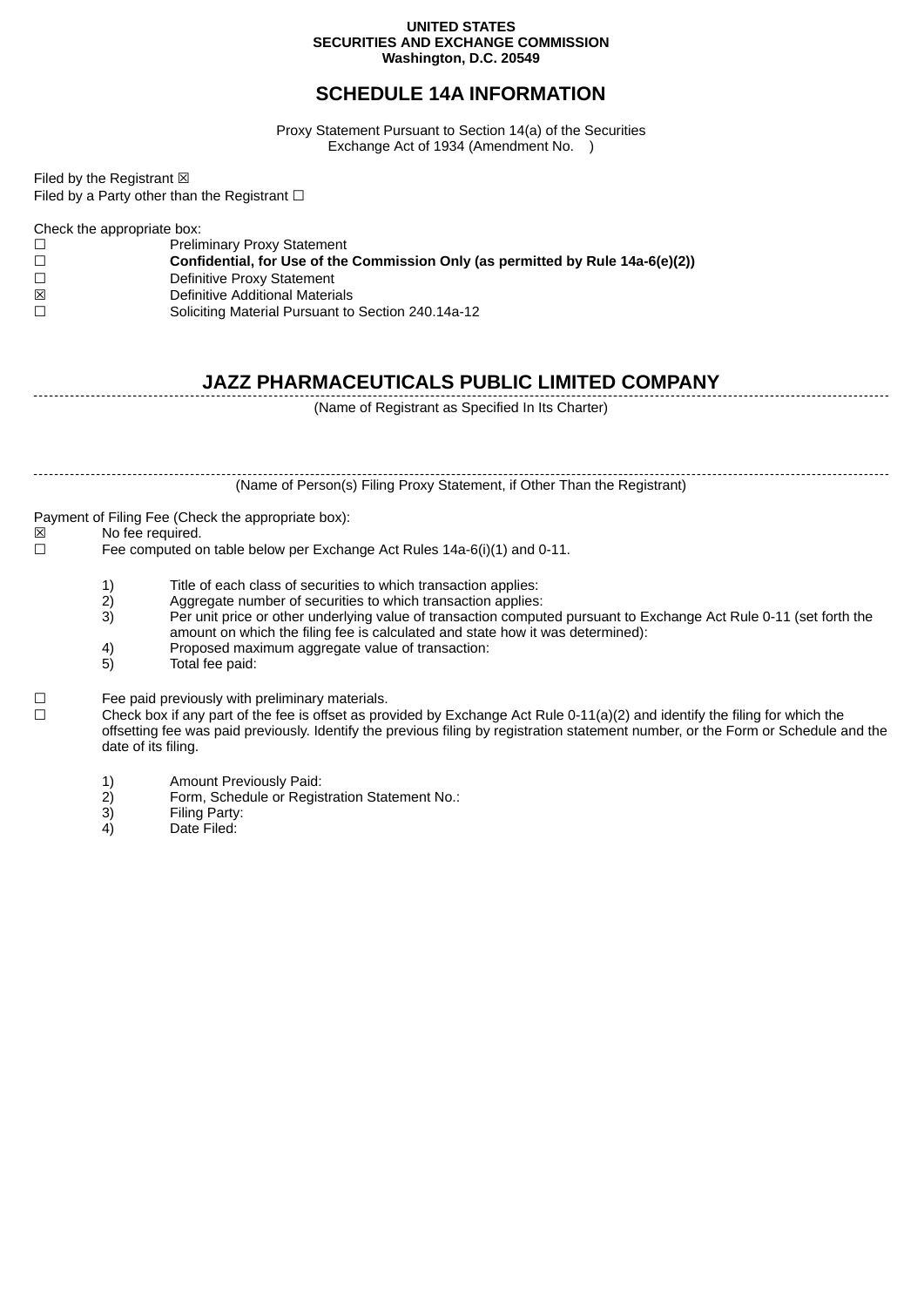#### **UNITED STATES SECURITIES AND EXCHANGE COMMISSION Washington, D.C. 20549**

### **SCHEDULE 14A INFORMATION**

Proxy Statement Pursuant to Section 14(a) of the Securities Exchange Act of 1934 (Amendment No. )

Filed by the Registrant  $\boxtimes$ Filed by a Party other than the Registrant  $□$ 

Check the appropriate box:

| $\Box$ | <b>Preliminary Proxy Statement</b>                                              |
|--------|---------------------------------------------------------------------------------|
| $\Box$ | Confidential, for Use of the Commission Only (as permitted by Rule 14a-6(e)(2)) |
| $\Box$ | Definitive Proxy Statement                                                      |
| ⊠      | Definitive Additional Materials                                                 |
| $\Box$ | Soliciting Material Pursuant to Section 240.14a-12                              |
|        |                                                                                 |

## **JAZZ PHARMACEUTICALS PUBLIC LIMITED COMPANY**

(Name of Registrant as Specified In Its Charter)

(Name of Person(s) Filing Proxy Statement, if Other Than the Registrant)

Payment of Filing Fee (Check the appropriate box):<br> $\boxtimes$  No fee required.

No fee required.

☐ Fee computed on table below per Exchange Act Rules 14a-6(i)(1) and 0-11.

- 1) Title of each class of securities to which transaction applies:<br>2) Aggregate number of securities to which transaction applies
- 2) Aggregate number of securities to which transaction applies:<br>3) Per unit price or other underlying value of transaction compu
- 3) Per unit price or other underlying value of transaction computed pursuant to Exchange Act Rule 0-11 (set forth the amount on which the filing fee is calculated and state how it was determined):
- 4) Proposed maximum aggregate value of transaction:
- 5) Total fee paid:

☐ Fee paid previously with preliminary materials.

 $\Box$  Check box if any part of the fee is offset as provided by Exchange Act Rule 0-11(a)(2) and identify the filing for which the offsetting fee was paid previously. Identify the previous filing by registration statement number, or the Form or Schedule and the date of its filing.

- 1) Amount Previously Paid:<br>2) Form, Schedule or Regis
- Form, Schedule or Registration Statement No.:
- 3) Filing Party:<br>4) Date Filed:
- Date Filed: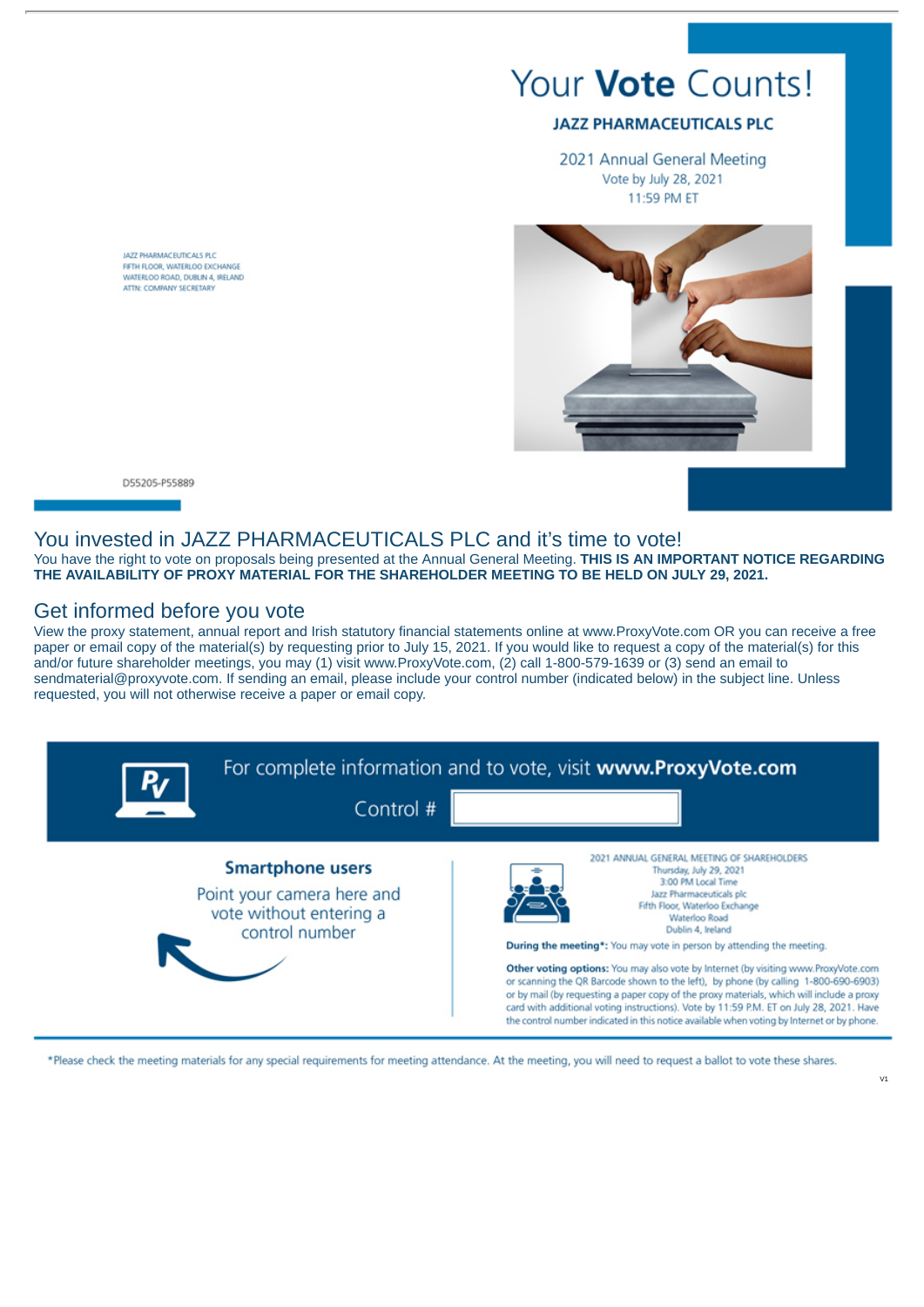# Your **Vote** Counts!

#### **JAZZ PHARMACEUTICALS PLC**

2021 Annual General Meeting Vote by July 28, 2021 11:59 PM ET



JAZZ PHARMACEUTICALS PLC FIFTH FLOOR, WATERLOO EXCHANGE WATERLOO ROAD, DURLIN 4, IRELAND ATTN: COMPANY SECRETARY

#### D55205-P55889

#### You invested in JAZZ PHARMACEUTICALS PLC and it's time to vote!

You have the right to vote on proposals being presented at the Annual General Meeting. **THIS IS AN IMPORTANT NOTICE REGARDING THE AVAILABILITY OF PROXY MATERIAL FOR THE SHAREHOLDER MEETING TO BE HELD ON JULY 29, 2021.**

#### Get informed before you vote

View the proxy statement, annual report and Irish statutory financial statements online at www.ProxyVote.com OR you can receive a free paper or email copy of the material(s) by requesting prior to July 15, 2021. If you would like to request a copy of the material(s) for this and/or future shareholder meetings, you may (1) visit www.ProxyVote.com, (2) call 1-800-579-1639 or (3) send an email to sendmaterial@proxyvote.com. If sending an email, please include your control number (indicated below) in the subject line. Unless requested, you will not otherwise receive a paper or email copy.



\*Please check the meeting materials for any special requirements for meeting attendance. At the meeting, you will need to request a ballot to vote these shares.